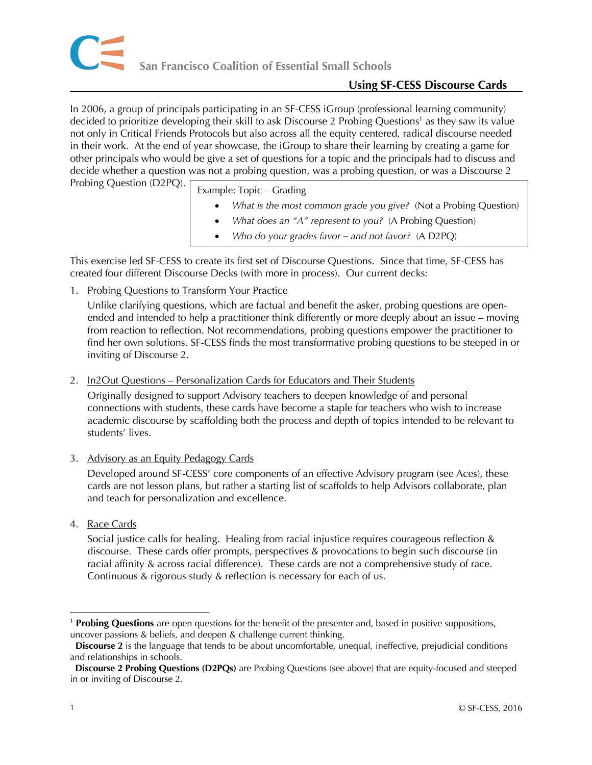In 2006, a group of principals participating in an SF-CESS iGroup (professional learning community) decided to prioritize developing their skill to ask Discourse 2 Probing Questions<sup>1</sup> as they saw its value not only in Critical Friends Protocols but also across all the equity centered, radical discourse needed in their work. At the end of year showcase, the iGroup to share their learning by creating a game for other principals who would be give a set of questions for a topic and the principals had to discuss and decide whether a question was not a probing question, was a probing question, or was a Discourse 2 Probing Question (D2PQ).

Example: Topic – Grading

- *What is the most common grade you give?* (Not a Probing Question)
- *What does an "A" represent to you?* (A Probing Question)
- *Who do your grades favor – and not favor?* (A D2PQ)

This exercise led SF-CESS to create its first set of Discourse Questions. Since that time, SF-CESS has created four different Discourse Decks (with more in process). Our current decks:

1. Probing Questions to Transform Your Practice

Unlike clarifying questions, which are factual and benefit the asker, probing questions are openended and intended to help a practitioner think differently or more deeply about an issue – moving from reaction to reflection. Not recommendations, probing questions empower the practitioner to find her own solutions. SF-CESS finds the most transformative probing questions to be steeped in or inviting of Discourse 2.

2. In2Out Questions – Personalization Cards for Educators and Their Students

Originally designed to support Advisory teachers to deepen knowledge of and personal connections with students, these cards have become a staple for teachers who wish to increase academic discourse by scaffolding both the process and depth of topics intended to be relevant to students' lives.

3. Advisory as an Equity Pedagogy Cards

Developed around SF-CESS' core components of an effective Advisory program (see Aces), these cards are not lesson plans, but rather a starting list of scaffolds to help Advisors collaborate, plan and teach for personalization and excellence.

4. Race Cards

Social justice calls for healing. Healing from racial injustice requires courageous reflection & discourse. These cards offer prompts, perspectives & provocations to begin such discourse (in racial affinity & across racial difference). These cards are not a comprehensive study of race. Continuous & rigorous study & reflection is necessary for each of us.

 $\overline{a}$ 

<sup>1</sup> **Probing Questions** are open questions for the benefit of the presenter and, based in positive suppositions, uncover passions & beliefs, and deepen & challenge current thinking.

**Discourse 2** is the language that tends to be about uncomfortable, unequal, ineffective, prejudicial conditions and relationships in schools.

**Discourse 2 Probing Questions (D2PQs)** are Probing Questions (see above) that are equity-focused and steeped in or inviting of Discourse 2.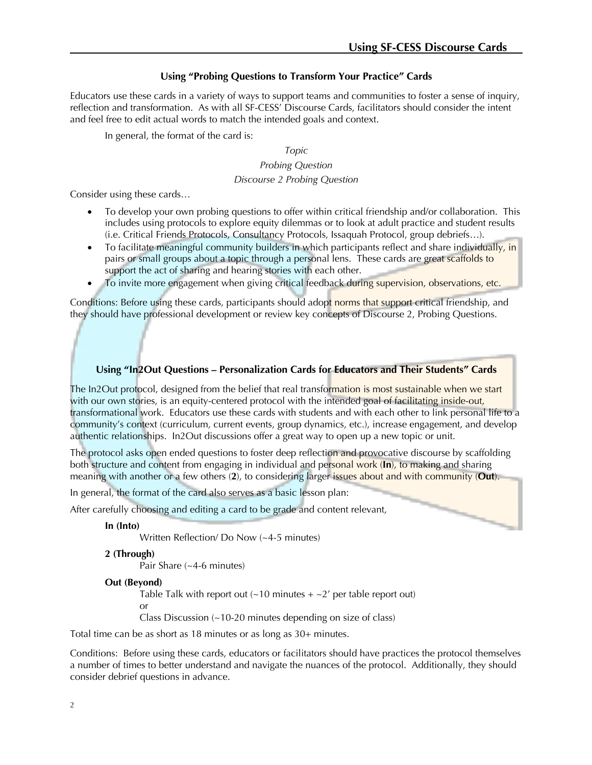## **Using "Probing Questions to Transform Your Practice" Cards**

Educators use these cards in a variety of ways to support teams and communities to foster a sense of inquiry, reflection and transformation. As with all SF-CESS' Discourse Cards, facilitators should consider the intent and feel free to edit actual words to match the intended goals and context.

In general, the format of the card is:

*Topic*

*Probing Question*

#### *Discourse 2 Probing Question*

Consider using these cards…

- To develop your own probing questions to offer within critical friendship and/or collaboration. This includes using protocols to explore equity dilemmas or to look at adult practice and student results (i.e. Critical Friends Protocols, Consultancy Protocols, Issaquah Protocol, group debriefs…).
- To facilitate meaningful community builders in which participants reflect and share individually, in pairs or small groups about a topic through a personal lens. These cards are great scaffolds to support the act of sharing and hearing stories with each other.
- To invite more engagement when giving critical feedback during supervision, observations, etc.

Conditions: Before using these cards, participants should adopt norms that support critical friendship, and they should have professional development or review key concepts of Discourse 2, Probing Questions.

## **Using "In2Out Questions – Personalization Cards for Educators and Their Students" Cards**

The In2Out protocol, designed from the belief that real transformation is most sustainable when we start with our own stories, is an equity-centered protocol with the intended goal of facilitating inside-out, transformational work. Educators use these cards with students and with each other to link personal life to a community's context (curriculum, current events, group dynamics, etc.), increase engagement, and develop authentic relationships. In2Out discussions offer a great way to open up a new topic or unit.

The protocol asks open ended questions to foster deep reflection and provocative discourse by scaffolding both structure and content from engaging in individual and personal work (**In**), to making and sharing meaning with another or a few others (**2**), to considering larger issues about and with community (**Out**).

In general, the format of the card also serves as a basic lesson plan:

After carefully choosing and editing a card to be grade and content relevant,

**In (Into)**

Written Reflection/ Do Now (~4-5 minutes)

**2 (Through)**

Pair Share (~4-6 minutes)

#### **Out (Beyond)**

Table Talk with report out  $(-10 \text{ minutes} + -2)$  per table report out) or

Class Discussion (~10-20 minutes depending on size of class)

Total time can be as short as 18 minutes or as long as 30+ minutes.

Conditions: Before using these cards, educators or facilitators should have practices the protocol themselves a number of times to better understand and navigate the nuances of the protocol. Additionally, they should consider debrief questions in advance.